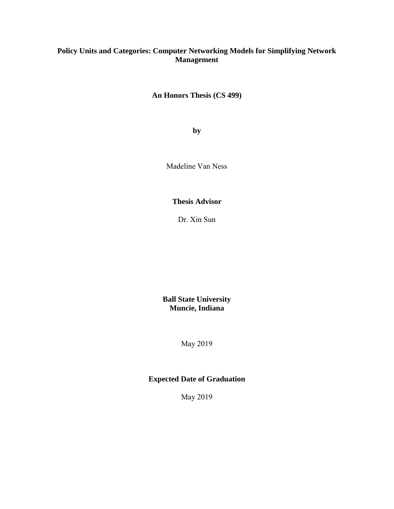# **Policy Units and Categories: Computer Networking Models for Simplifying Network Management**

**An Honors Thesis (CS 499)**

**by**

Madeline Van Ness

**Thesis Advisor**

Dr. Xin Sun

**Ball State University Muncie, Indiana**

May 2019

# **Expected Date of Graduation**

May 2019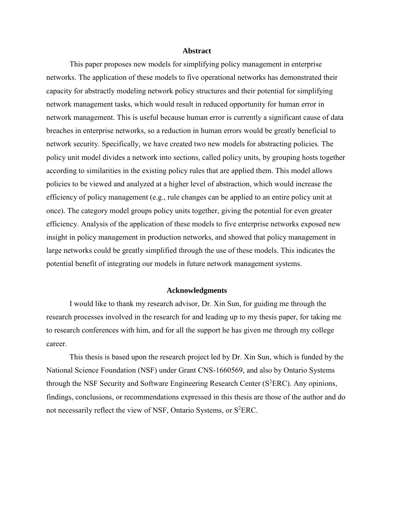### **Abstract**

This paper proposes new models for simplifying policy management in enterprise networks. The application of these models to five operational networks has demonstrated their capacity for abstractly modeling network policy structures and their potential for simplifying network management tasks, which would result in reduced opportunity for human error in network management. This is useful because human error is currently a significant cause of data breaches in enterprise networks, so a reduction in human errors would be greatly beneficial to network security. Specifically, we have created two new models for abstracting policies. The policy unit model divides a network into sections, called policy units, by grouping hosts together according to similarities in the existing policy rules that are applied them. This model allows policies to be viewed and analyzed at a higher level of abstraction, which would increase the efficiency of policy management (e.g., rule changes can be applied to an entire policy unit at once). The category model groups policy units together, giving the potential for even greater efficiency. Analysis of the application of these models to five enterprise networks exposed new insight in policy management in production networks, and showed that policy management in large networks could be greatly simplified through the use of these models. This indicates the potential benefit of integrating our models in future network management systems.

#### **Acknowledgments**

I would like to thank my research advisor, Dr. Xin Sun, for guiding me through the research processes involved in the research for and leading up to my thesis paper, for taking me to research conferences with him, and for all the support he has given me through my college career.

This thesis is based upon the research project led by Dr. Xin Sun, which is funded by the National Science Foundation (NSF) under Grant CNS-1660569, and also by Ontario Systems through the NSF Security and Software Engineering Research Center ( $S<sup>2</sup>ERC$ ). Any opinions, findings, conclusions, or recommendations expressed in this thesis are those of the author and do not necessarily reflect the view of NSF, Ontario Systems, or S<sup>2</sup>ERC.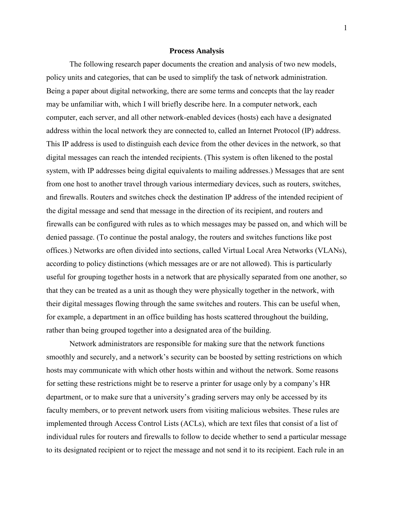### **Process Analysis**

The following research paper documents the creation and analysis of two new models, policy units and categories, that can be used to simplify the task of network administration. Being a paper about digital networking, there are some terms and concepts that the lay reader may be unfamiliar with, which I will briefly describe here. In a computer network, each computer, each server, and all other network-enabled devices (hosts) each have a designated address within the local network they are connected to, called an Internet Protocol (IP) address. This IP address is used to distinguish each device from the other devices in the network, so that digital messages can reach the intended recipients. (This system is often likened to the postal system, with IP addresses being digital equivalents to mailing addresses.) Messages that are sent from one host to another travel through various intermediary devices, such as routers, switches, and firewalls. Routers and switches check the destination IP address of the intended recipient of the digital message and send that message in the direction of its recipient, and routers and firewalls can be configured with rules as to which messages may be passed on, and which will be denied passage. (To continue the postal analogy, the routers and switches functions like post offices.) Networks are often divided into sections, called Virtual Local Area Networks (VLANs), according to policy distinctions (which messages are or are not allowed). This is particularly useful for grouping together hosts in a network that are physically separated from one another, so that they can be treated as a unit as though they were physically together in the network, with their digital messages flowing through the same switches and routers. This can be useful when, for example, a department in an office building has hosts scattered throughout the building, rather than being grouped together into a designated area of the building.

Network administrators are responsible for making sure that the network functions smoothly and securely, and a network's security can be boosted by setting restrictions on which hosts may communicate with which other hosts within and without the network. Some reasons for setting these restrictions might be to reserve a printer for usage only by a company's HR department, or to make sure that a university's grading servers may only be accessed by its faculty members, or to prevent network users from visiting malicious websites. These rules are implemented through Access Control Lists (ACLs), which are text files that consist of a list of individual rules for routers and firewalls to follow to decide whether to send a particular message to its designated recipient or to reject the message and not send it to its recipient. Each rule in an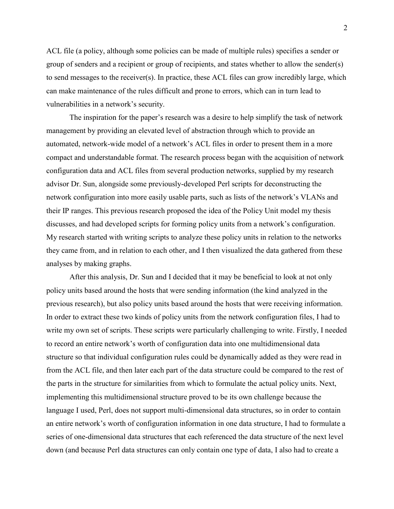ACL file (a policy, although some policies can be made of multiple rules) specifies a sender or group of senders and a recipient or group of recipients, and states whether to allow the sender(s) to send messages to the receiver(s). In practice, these ACL files can grow incredibly large, which can make maintenance of the rules difficult and prone to errors, which can in turn lead to vulnerabilities in a network's security.

The inspiration for the paper's research was a desire to help simplify the task of network management by providing an elevated level of abstraction through which to provide an automated, network-wide model of a network's ACL files in order to present them in a more compact and understandable format. The research process began with the acquisition of network configuration data and ACL files from several production networks, supplied by my research advisor Dr. Sun, alongside some previously-developed Perl scripts for deconstructing the network configuration into more easily usable parts, such as lists of the network's VLANs and their IP ranges. This previous research proposed the idea of the Policy Unit model my thesis discusses, and had developed scripts for forming policy units from a network's configuration. My research started with writing scripts to analyze these policy units in relation to the networks they came from, and in relation to each other, and I then visualized the data gathered from these analyses by making graphs.

After this analysis, Dr. Sun and I decided that it may be beneficial to look at not only policy units based around the hosts that were sending information (the kind analyzed in the previous research), but also policy units based around the hosts that were receiving information. In order to extract these two kinds of policy units from the network configuration files, I had to write my own set of scripts. These scripts were particularly challenging to write. Firstly, I needed to record an entire network's worth of configuration data into one multidimensional data structure so that individual configuration rules could be dynamically added as they were read in from the ACL file, and then later each part of the data structure could be compared to the rest of the parts in the structure for similarities from which to formulate the actual policy units. Next, implementing this multidimensional structure proved to be its own challenge because the language I used, Perl, does not support multi-dimensional data structures, so in order to contain an entire network's worth of configuration information in one data structure, I had to formulate a series of one-dimensional data structures that each referenced the data structure of the next level down (and because Perl data structures can only contain one type of data, I also had to create a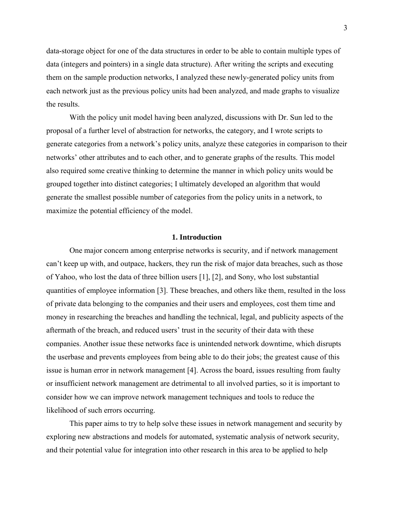data-storage object for one of the data structures in order to be able to contain multiple types of data (integers and pointers) in a single data structure). After writing the scripts and executing them on the sample production networks, I analyzed these newly-generated policy units from each network just as the previous policy units had been analyzed, and made graphs to visualize the results.

With the policy unit model having been analyzed, discussions with Dr. Sun led to the proposal of a further level of abstraction for networks, the category, and I wrote scripts to generate categories from a network's policy units, analyze these categories in comparison to their networks' other attributes and to each other, and to generate graphs of the results. This model also required some creative thinking to determine the manner in which policy units would be grouped together into distinct categories; I ultimately developed an algorithm that would generate the smallest possible number of categories from the policy units in a network, to maximize the potential efficiency of the model.

## **1. Introduction**

One major concern among enterprise networks is security, and if network management can't keep up with, and outpace, hackers, they run the risk of major data breaches, such as those of Yahoo, who lost the data of three billion users [1], [2], and Sony, who lost substantial quantities of employee information [3]. These breaches, and others like them, resulted in the loss of private data belonging to the companies and their users and employees, cost them time and money in researching the breaches and handling the technical, legal, and publicity aspects of the aftermath of the breach, and reduced users' trust in the security of their data with these companies. Another issue these networks face is unintended network downtime, which disrupts the userbase and prevents employees from being able to do their jobs; the greatest cause of this issue is human error in network management [4]. Across the board, issues resulting from faulty or insufficient network management are detrimental to all involved parties, so it is important to consider how we can improve network management techniques and tools to reduce the likelihood of such errors occurring.

This paper aims to try to help solve these issues in network management and security by exploring new abstractions and models for automated, systematic analysis of network security, and their potential value for integration into other research in this area to be applied to help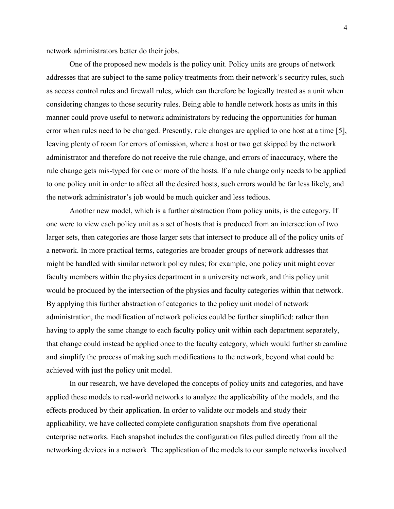network administrators better do their jobs.

One of the proposed new models is the policy unit. Policy units are groups of network addresses that are subject to the same policy treatments from their network's security rules, such as access control rules and firewall rules, which can therefore be logically treated as a unit when considering changes to those security rules. Being able to handle network hosts as units in this manner could prove useful to network administrators by reducing the opportunities for human error when rules need to be changed. Presently, rule changes are applied to one host at a time [5], leaving plenty of room for errors of omission, where a host or two get skipped by the network administrator and therefore do not receive the rule change, and errors of inaccuracy, where the rule change gets mis-typed for one or more of the hosts. If a rule change only needs to be applied to one policy unit in order to affect all the desired hosts, such errors would be far less likely, and the network administrator's job would be much quicker and less tedious.

Another new model, which is a further abstraction from policy units, is the category. If one were to view each policy unit as a set of hosts that is produced from an intersection of two larger sets, then categories are those larger sets that intersect to produce all of the policy units of a network. In more practical terms, categories are broader groups of network addresses that might be handled with similar network policy rules; for example, one policy unit might cover faculty members within the physics department in a university network, and this policy unit would be produced by the intersection of the physics and faculty categories within that network. By applying this further abstraction of categories to the policy unit model of network administration, the modification of network policies could be further simplified: rather than having to apply the same change to each faculty policy unit within each department separately, that change could instead be applied once to the faculty category, which would further streamline and simplify the process of making such modifications to the network, beyond what could be achieved with just the policy unit model.

In our research, we have developed the concepts of policy units and categories, and have applied these models to real-world networks to analyze the applicability of the models, and the effects produced by their application. In order to validate our models and study their applicability, we have collected complete configuration snapshots from five operational enterprise networks. Each snapshot includes the configuration files pulled directly from all the networking devices in a network. The application of the models to our sample networks involved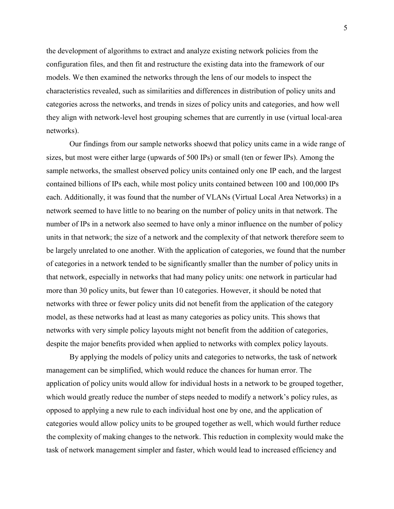the development of algorithms to extract and analyze existing network policies from the configuration files, and then fit and restructure the existing data into the framework of our models. We then examined the networks through the lens of our models to inspect the characteristics revealed, such as similarities and differences in distribution of policy units and categories across the networks, and trends in sizes of policy units and categories, and how well they align with network-level host grouping schemes that are currently in use (virtual local-area networks).

Our findings from our sample networks shoewd that policy units came in a wide range of sizes, but most were either large (upwards of 500 IPs) or small (ten or fewer IPs). Among the sample networks, the smallest observed policy units contained only one IP each, and the largest contained billions of IPs each, while most policy units contained between 100 and 100,000 IPs each. Additionally, it was found that the number of VLANs (Virtual Local Area Networks) in a network seemed to have little to no bearing on the number of policy units in that network. The number of IPs in a network also seemed to have only a minor influence on the number of policy units in that network; the size of a network and the complexity of that network therefore seem to be largely unrelated to one another. With the application of categories, we found that the number of categories in a network tended to be significantly smaller than the number of policy units in that network, especially in networks that had many policy units: one network in particular had more than 30 policy units, but fewer than 10 categories. However, it should be noted that networks with three or fewer policy units did not benefit from the application of the category model, as these networks had at least as many categories as policy units. This shows that networks with very simple policy layouts might not benefit from the addition of categories, despite the major benefits provided when applied to networks with complex policy layouts.

By applying the models of policy units and categories to networks, the task of network management can be simplified, which would reduce the chances for human error. The application of policy units would allow for individual hosts in a network to be grouped together, which would greatly reduce the number of steps needed to modify a network's policy rules, as opposed to applying a new rule to each individual host one by one, and the application of categories would allow policy units to be grouped together as well, which would further reduce the complexity of making changes to the network. This reduction in complexity would make the task of network management simpler and faster, which would lead to increased efficiency and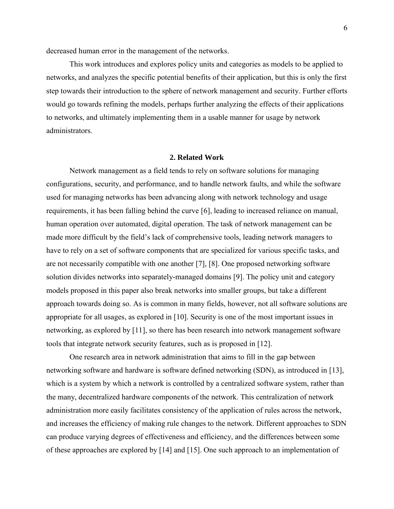decreased human error in the management of the networks.

This work introduces and explores policy units and categories as models to be applied to networks, and analyzes the specific potential benefits of their application, but this is only the first step towards their introduction to the sphere of network management and security. Further efforts would go towards refining the models, perhaps further analyzing the effects of their applications to networks, and ultimately implementing them in a usable manner for usage by network administrators.

#### **2. Related Work**

Network management as a field tends to rely on software solutions for managing configurations, security, and performance, and to handle network faults, and while the software used for managing networks has been advancing along with network technology and usage requirements, it has been falling behind the curve [6], leading to increased reliance on manual, human operation over automated, digital operation. The task of network management can be made more difficult by the field's lack of comprehensive tools, leading network managers to have to rely on a set of software components that are specialized for various specific tasks, and are not necessarily compatible with one another [7], [8]. One proposed networking software solution divides networks into separately-managed domains [9]. The policy unit and category models proposed in this paper also break networks into smaller groups, but take a different approach towards doing so. As is common in many fields, however, not all software solutions are appropriate for all usages, as explored in [10]. Security is one of the most important issues in networking, as explored by [11], so there has been research into network management software tools that integrate network security features, such as is proposed in [12].

One research area in network administration that aims to fill in the gap between networking software and hardware is software defined networking (SDN), as introduced in [13], which is a system by which a network is controlled by a centralized software system, rather than the many, decentralized hardware components of the network. This centralization of network administration more easily facilitates consistency of the application of rules across the network, and increases the efficiency of making rule changes to the network. Different approaches to SDN can produce varying degrees of effectiveness and efficiency, and the differences between some of these approaches are explored by [14] and [15]. One such approach to an implementation of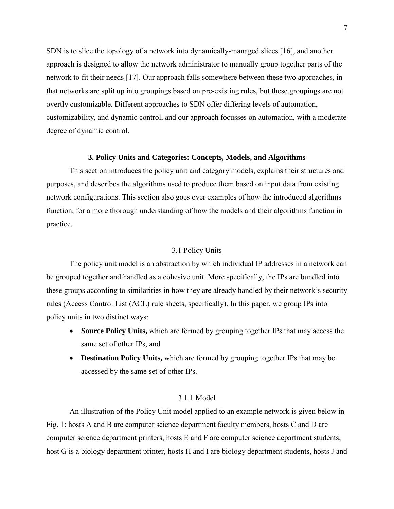SDN is to slice the topology of a network into dynamically-managed slices [16], and another approach is designed to allow the network administrator to manually group together parts of the network to fit their needs [17]. Our approach falls somewhere between these two approaches, in that networks are split up into groupings based on pre-existing rules, but these groupings are not overtly customizable. Different approaches to SDN offer differing levels of automation, customizability, and dynamic control, and our approach focusses on automation, with a moderate degree of dynamic control.

### **3. Policy Units and Categories: Concepts, Models, and Algorithms**

This section introduces the policy unit and category models, explains their structures and purposes, and describes the algorithms used to produce them based on input data from existing network configurations. This section also goes over examples of how the introduced algorithms function, for a more thorough understanding of how the models and their algorithms function in practice.

## 3.1 Policy Units

The policy unit model is an abstraction by which individual IP addresses in a network can be grouped together and handled as a cohesive unit. More specifically, the IPs are bundled into these groups according to similarities in how they are already handled by their network's security rules (Access Control List (ACL) rule sheets, specifically). In this paper, we group IPs into policy units in two distinct ways:

- **Source Policy Units,** which are formed by grouping together IPs that may access the same set of other IPs, and
- **Destination Policy Units,** which are formed by grouping together IPs that may be accessed by the same set of other IPs.

## 3.1.1 Model

An illustration of the Policy Unit model applied to an example network is given below in Fig. 1: hosts A and B are computer science department faculty members, hosts C and D are computer science department printers, hosts E and F are computer science department students, host G is a biology department printer, hosts H and I are biology department students, hosts J and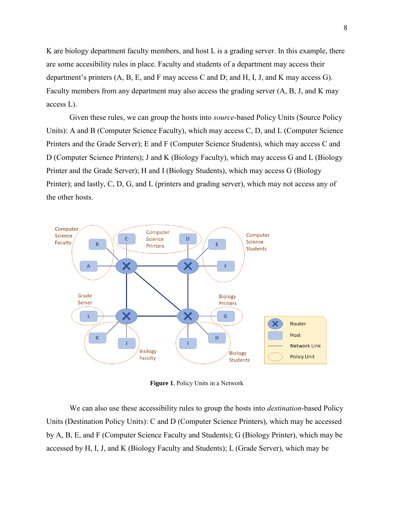K are biology department faculty members, and host L is a grading server. In this example, there are some accesibility rules in place. Faculty and students of a department may access their department's printers (A, B, E, and F may access C and D; and H, I, J, and K may access G). Faculty members from any department may also access the grading server (A, B, J, and K may access L).

Given these rules, we can group the hosts into *source*-based Policy Units (Source Policy Units): A and B (Computer Science Faculty), which may access C, D, and L (Computer Science Printers and the Grade Server); E and F (Computer Science Students), which may access C and D (Computer Science Printers); J and K (Biology Faculty), which may access G and L (Biology Printer and the Grade Server); H and I (Biology Students), which may access G (Biology Printer); and lastly, C, D, G, and L (printers and grading server), which may not access any of the other hosts.



**Figure 1**, Policy Units in a Network

We can also use these accessibility rules to group the hosts into *destination*-based Policy Units (Destination Policy Units): C and D (Computer Science Printers), which may be accessed by A, B, E, and F (Computer Science Faculty and Students); G (Biology Printer), which may be accessed by H, I, J, and K (Biology Faculty and Students); L (Grade Server), which may be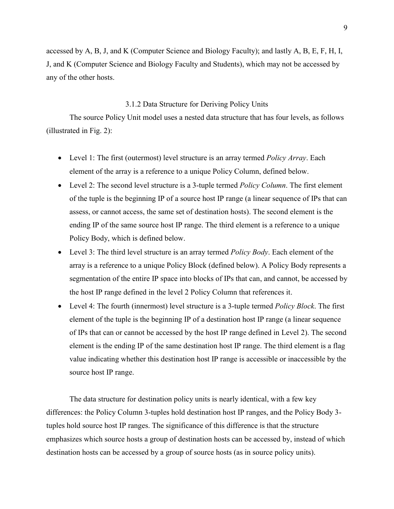accessed by A, B, J, and K (Computer Science and Biology Faculty); and lastly A, B, E, F, H, I, J, and K (Computer Science and Biology Faculty and Students), which may not be accessed by any of the other hosts.

## 3.1.2 Data Structure for Deriving Policy Units

The source Policy Unit model uses a nested data structure that has four levels, as follows (illustrated in Fig. 2):

- Level 1: The first (outermost) level structure is an array termed *Policy Array*. Each element of the array is a reference to a unique Policy Column, defined below.
- Level 2: The second level structure is a 3-tuple termed *Policy Column*. The first element of the tuple is the beginning IP of a source host IP range (a linear sequence of IPs that can assess, or cannot access, the same set of destination hosts). The second element is the ending IP of the same source host IP range. The third element is a reference to a unique Policy Body, which is defined below.
- Level 3: The third level structure is an array termed *Policy Body*. Each element of the array is a reference to a unique Policy Block (defined below). A Policy Body represents a segmentation of the entire IP space into blocks of IPs that can, and cannot, be accessed by the host IP range defined in the level 2 Policy Column that references it.
- Level 4: The fourth (innermost) level structure is a 3-tuple termed *Policy Block*. The first element of the tuple is the beginning IP of a destination host IP range (a linear sequence of IPs that can or cannot be accessed by the host IP range defined in Level 2). The second element is the ending IP of the same destination host IP range. The third element is a flag value indicating whether this destination host IP range is accessible or inaccessible by the source host IP range.

The data structure for destination policy units is nearly identical, with a few key differences: the Policy Column 3-tuples hold destination host IP ranges, and the Policy Body 3 tuples hold source host IP ranges. The significance of this difference is that the structure emphasizes which source hosts a group of destination hosts can be accessed by, instead of which destination hosts can be accessed by a group of source hosts (as in source policy units).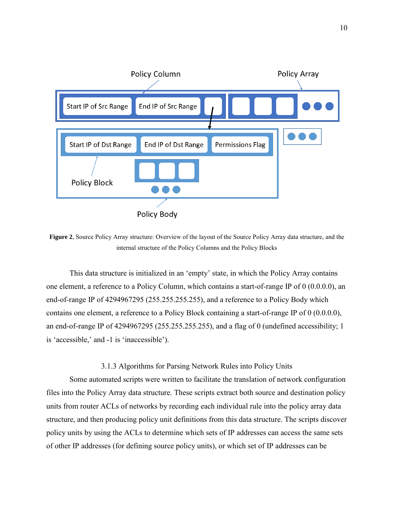

**Figure 2**, Source Policy Array structure: Overview of the layout of the Source Policy Array data structure, and the internal structure of the Policy Columns and the Policy Blocks

This data structure is initialized in an 'empty' state, in which the Policy Array contains one element, a reference to a Policy Column, which contains a start-of-range IP of 0 (0.0.0.0), an end-of-range IP of 4294967295 (255.255.255.255), and a reference to a Policy Body which contains one element, a reference to a Policy Block containing a start-of-range IP of 0 (0.0.0.0), an end-of-range IP of 4294967295 (255.255.255.255), and a flag of 0 (undefined accessibility; 1 is 'accessible,' and -1 is 'inaccessible').

# 3.1.3 Algorithms for Parsing Network Rules into Policy Units

Some automated scripts were written to facilitate the translation of network configuration files into the Policy Array data structure. These scripts extract both source and destination policy units from router ACLs of networks by recording each individual rule into the policy array data structure, and then producing policy unit definitions from this data structure. The scripts discover policy units by using the ACLs to determine which sets of IP addresses can access the same sets of other IP addresses (for defining source policy units), or which set of IP addresses can be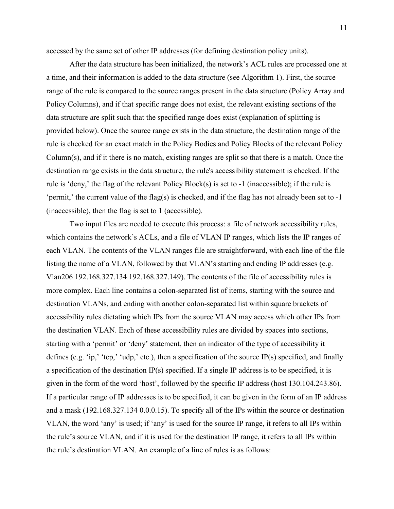accessed by the same set of other IP addresses (for defining destination policy units).

After the data structure has been initialized, the network's ACL rules are processed one at a time, and their information is added to the data structure (see Algorithm 1). First, the source range of the rule is compared to the source ranges present in the data structure (Policy Array and Policy Columns), and if that specific range does not exist, the relevant existing sections of the data structure are split such that the specified range does exist (explanation of splitting is provided below). Once the source range exists in the data structure, the destination range of the rule is checked for an exact match in the Policy Bodies and Policy Blocks of the relevant Policy Column(s), and if it there is no match, existing ranges are split so that there is a match. Once the destination range exists in the data structure, the rule's accessibility statement is checked. If the rule is 'deny,' the flag of the relevant Policy Block(s) is set to -1 (inaccessible); if the rule is 'permit,' the current value of the flag(s) is checked, and if the flag has not already been set to -1 (inaccessible), then the flag is set to 1 (accessible).

Two input files are needed to execute this process: a file of network accessibility rules, which contains the network's ACLs, and a file of VLAN IP ranges, which lists the IP ranges of each VLAN. The contents of the VLAN ranges file are straightforward, with each line of the file listing the name of a VLAN, followed by that VLAN's starting and ending IP addresses (e.g. Vlan206 192.168.327.134 192.168.327.149). The contents of the file of accessibility rules is more complex. Each line contains a colon-separated list of items, starting with the source and destination VLANs, and ending with another colon-separated list within square brackets of accessibility rules dictating which IPs from the source VLAN may access which other IPs from the destination VLAN. Each of these accessibility rules are divided by spaces into sections, starting with a 'permit' or 'deny' statement, then an indicator of the type of accessibility it defines (e.g. 'ip,' 'tcp,' 'udp,' etc.), then a specification of the source IP(s) specified, and finally a specification of the destination IP(s) specified. If a single IP address is to be specified, it is given in the form of the word 'host', followed by the specific IP address (host 130.104.243.86). If a particular range of IP addresses is to be specified, it can be given in the form of an IP address and a mask (192.168.327.134 0.0.0.15). To specify all of the IPs within the source or destination VLAN, the word 'any' is used; if 'any' is used for the source IP range, it refers to all IPs within the rule's source VLAN, and if it is used for the destination IP range, it refers to all IPs within the rule's destination VLAN. An example of a line of rules is as follows: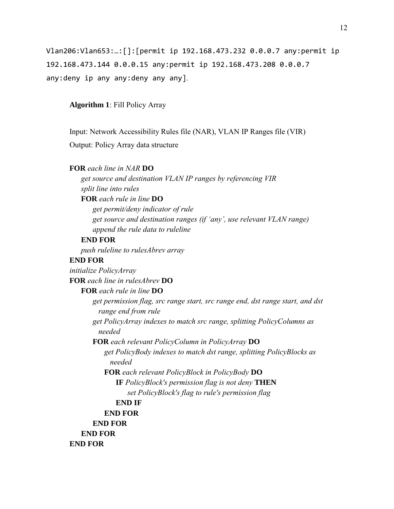Vlan206:Vlan653:…:[]:[permit ip 192.168.473.232 0.0.0.7 any:permit ip 192.168.473.144 0.0.0.15 any:permit ip 192.168.473.208 0.0.0.7 any:deny ip any any:deny any any].

**Algorithm 1**: Fill Policy Array

Input: Network Accessibility Rules file (NAR), VLAN IP Ranges file (VIR) Output: Policy Array data structure

# **FOR** *each line in NAR* **DO**

*get source and destination VLAN IP ranges by referencing VIR split line into rules* **FOR** *each rule in line* **DO**

*get permit/deny indicator of rule get source and destination ranges (if 'any', use relevant VLAN range) append the rule data to ruleline*

# **END FOR**

*push ruleline to rulesAbrev array*

# **END FOR**

*initialize PolicyArray* **FOR** *each line in rulesAbrev* **DO FOR** *each rule in line* **DO** *get permission flag, src range start, src range end, dst range start, and dst range end from rule get PolicyArray indexes to match src range, splitting PolicyColumns as needed* **FOR** *each relevant PolicyColumn in PolicyArray* **DO** *get PolicyBody indexes to match dst range, splitting PolicyBlocks as needed* **FOR** *each relevant PolicyBlock in PolicyBody* **DO IF** *PolicyBlock's permission flag is not deny* **THEN** *set PolicyBlock's flag to rule's permission flag* **END IF END FOR END FOR END FOR END FOR**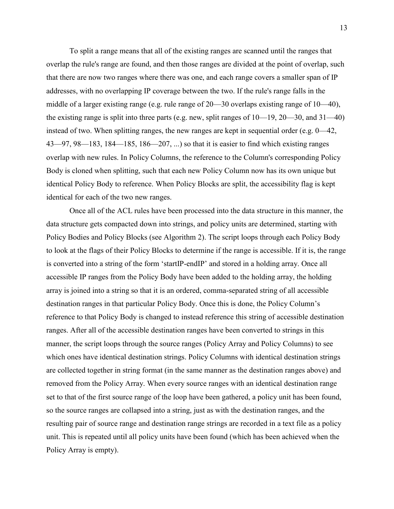To split a range means that all of the existing ranges are scanned until the ranges that overlap the rule's range are found, and then those ranges are divided at the point of overlap, such that there are now two ranges where there was one, and each range covers a smaller span of IP addresses, with no overlapping IP coverage between the two. If the rule's range falls in the middle of a larger existing range (e.g. rule range of 20—30 overlaps existing range of 10—40), the existing range is split into three parts (e.g. new, split ranges of  $10-19$ ,  $20-30$ , and  $31-40$ ) instead of two. When splitting ranges, the new ranges are kept in sequential order (e.g. 0—42, 43—97, 98—183, 184—185, 186—207, ...) so that it is easier to find which existing ranges overlap with new rules. In Policy Columns, the reference to the Column's corresponding Policy Body is cloned when splitting, such that each new Policy Column now has its own unique but identical Policy Body to reference. When Policy Blocks are split, the accessibility flag is kept identical for each of the two new ranges.

Once all of the ACL rules have been processed into the data structure in this manner, the data structure gets compacted down into strings, and policy units are determined, starting with Policy Bodies and Policy Blocks (see Algorithm 2). The script loops through each Policy Body to look at the flags of their Policy Blocks to determine if the range is accessible. If it is, the range is converted into a string of the form 'startIP-endIP' and stored in a holding array. Once all accessible IP ranges from the Policy Body have been added to the holding array, the holding array is joined into a string so that it is an ordered, comma-separated string of all accessible destination ranges in that particular Policy Body. Once this is done, the Policy Column's reference to that Policy Body is changed to instead reference this string of accessible destination ranges. After all of the accessible destination ranges have been converted to strings in this manner, the script loops through the source ranges (Policy Array and Policy Columns) to see which ones have identical destination strings. Policy Columns with identical destination strings are collected together in string format (in the same manner as the destination ranges above) and removed from the Policy Array. When every source ranges with an identical destination range set to that of the first source range of the loop have been gathered, a policy unit has been found, so the source ranges are collapsed into a string, just as with the destination ranges, and the resulting pair of source range and destination range strings are recorded in a text file as a policy unit. This is repeated until all policy units have been found (which has been achieved when the Policy Array is empty).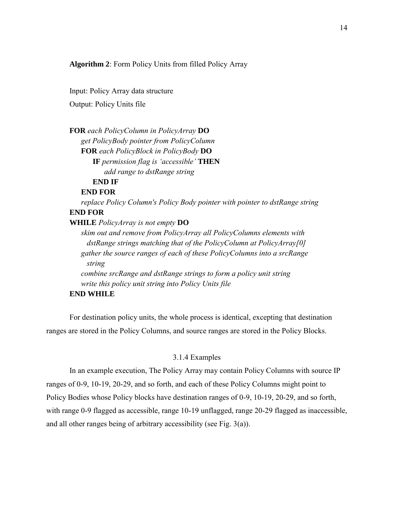**Algorithm 2**: Form Policy Units from filled Policy Array

Input: Policy Array data structure Output: Policy Units file

**FOR** *each PolicyColumn in PolicyArray* **DO** *get PolicyBody pointer from PolicyColumn* **FOR** *each PolicyBlock in PolicyBody* **DO IF** *permission flag is 'accessible'* **THEN** *add range to dstRange string* **END IF END FOR** *replace Policy Column's Policy Body pointer with pointer to dstRange string* **END FOR WHILE** *PolicyArray is not empty* **DO** *skim out and remove from PolicyArray all PolicyColumns elements with dstRange strings matching that of the PolicyColumn at PolicyArray[0] gather the source ranges of each of these PolicyColumns into a srcRange string combine srcRange and dstRange strings to form a policy unit string write this policy unit string into Policy Units file* **END WHILE**

For destination policy units, the whole process is identical, excepting that destination ranges are stored in the Policy Columns, and source ranges are stored in the Policy Blocks.

# 3.1.4 Examples

In an example execution, The Policy Array may contain Policy Columns with source IP ranges of 0-9, 10-19, 20-29, and so forth, and each of these Policy Columns might point to Policy Bodies whose Policy blocks have destination ranges of 0-9, 10-19, 20-29, and so forth, with range 0-9 flagged as accessible, range 10-19 unflagged, range 20-29 flagged as inaccessible, and all other ranges being of arbitrary accessibility (see Fig. 3(a)).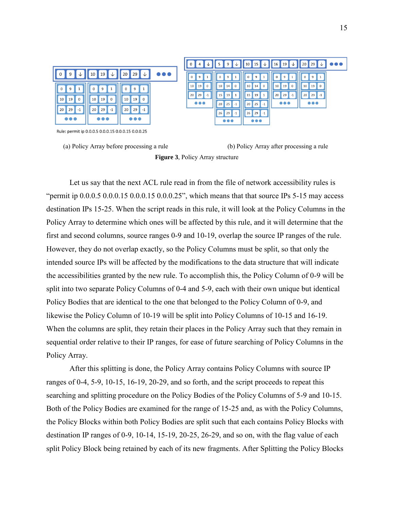| 0<br>9<br>9                                                                                                                    |
|--------------------------------------------------------------------------------------------------------------------------------|
|                                                                                                                                |
| 19<br>10<br>10<br>10<br>19<br>14<br>$\mathbf{0}$                                                                               |
| 29<br>20<br>29<br>. 20 F<br>$-1$<br>15<br>19<br>$-1$<br>$\bullet\bullet\bullet$<br>$\bullet\bullet\bullet$<br>25<br>20<br>$-1$ |
| 26<br>29<br>$-1$                                                                                                               |
| $\bullet\bullet\bullet$                                                                                                        |
|                                                                                                                                |



Let us say that the next ACL rule read in from the file of network accessibility rules is "permit ip  $0.0.0.5$   $0.0.0.15$   $0.0.0.15$   $0.0.0.25$ ", which means that that source IPs 5-15 may access destination IPs 15-25. When the script reads in this rule, it will look at the Policy Columns in the Policy Array to determine which ones will be affected by this rule, and it will determine that the first and second columns, source ranges 0-9 and 10-19, overlap the source IP ranges of the rule. However, they do not overlap exactly, so the Policy Columns must be split, so that only the intended source IPs will be affected by the modifications to the data structure that will indicate the accessibilities granted by the new rule. To accomplish this, the Policy Column of 0-9 will be split into two separate Policy Columns of 0-4 and 5-9, each with their own unique but identical Policy Bodies that are identical to the one that belonged to the Policy Column of 0-9, and likewise the Policy Column of 10-19 will be split into Policy Columns of 10-15 and 16-19. When the columns are split, they retain their places in the Policy Array such that they remain in sequential order relative to their IP ranges, for ease of future searching of Policy Columns in the Policy Array.

After this splitting is done, the Policy Array contains Policy Columns with source IP ranges of 0-4, 5-9, 10-15, 16-19, 20-29, and so forth, and the script proceeds to repeat this searching and splitting procedure on the Policy Bodies of the Policy Columns of 5-9 and 10-15. Both of the Policy Bodies are examined for the range of 15-25 and, as with the Policy Columns, the Policy Blocks within both Policy Bodies are split such that each contains Policy Blocks with destination IP ranges of 0-9, 10-14, 15-19, 20-25, 26-29, and so on, with the flag value of each split Policy Block being retained by each of its new fragments. After Splitting the Policy Blocks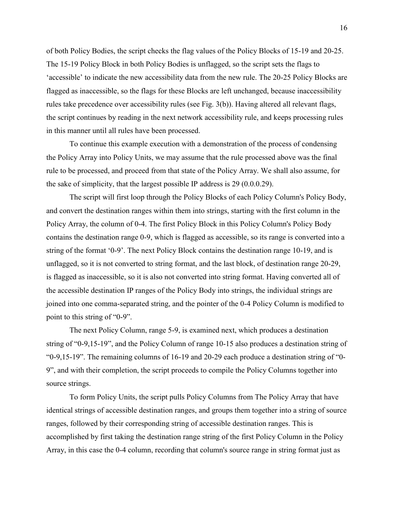of both Policy Bodies, the script checks the flag values of the Policy Blocks of 15-19 and 20-25. The 15-19 Policy Block in both Policy Bodies is unflagged, so the script sets the flags to 'accessible' to indicate the new accessibility data from the new rule. The 20-25 Policy Blocks are flagged as inaccessible, so the flags for these Blocks are left unchanged, because inaccessibility rules take precedence over accessibility rules (see Fig. 3(b)). Having altered all relevant flags, the script continues by reading in the next network accessibility rule, and keeps processing rules in this manner until all rules have been processed.

To continue this example execution with a demonstration of the process of condensing the Policy Array into Policy Units, we may assume that the rule processed above was the final rule to be processed, and proceed from that state of the Policy Array. We shall also assume, for the sake of simplicity, that the largest possible IP address is 29 (0.0.0.29).

The script will first loop through the Policy Blocks of each Policy Column's Policy Body, and convert the destination ranges within them into strings, starting with the first column in the Policy Array, the column of 0-4. The first Policy Block in this Policy Column's Policy Body contains the destination range 0-9, which is flagged as accessible, so its range is converted into a string of the format '0-9'. The next Policy Block contains the destination range 10-19, and is unflagged, so it is not converted to string format, and the last block, of destination range 20-29, is flagged as inaccessible, so it is also not converted into string format. Having converted all of the accessible destination IP ranges of the Policy Body into strings, the individual strings are joined into one comma-separated string, and the pointer of the 0-4 Policy Column is modified to point to this string of "0-9".

The next Policy Column, range 5-9, is examined next, which produces a destination string of "0-9,15-19", and the Policy Column of range 10-15 also produces a destination string of "0-9,15-19". The remaining columns of 16-19 and 20-29 each produce a destination string of "0- 9", and with their completion, the script proceeds to compile the Policy Columns together into source strings.

To form Policy Units, the script pulls Policy Columns from The Policy Array that have identical strings of accessible destination ranges, and groups them together into a string of source ranges, followed by their corresponding string of accessible destination ranges. This is accomplished by first taking the destination range string of the first Policy Column in the Policy Array, in this case the 0-4 column, recording that column's source range in string format just as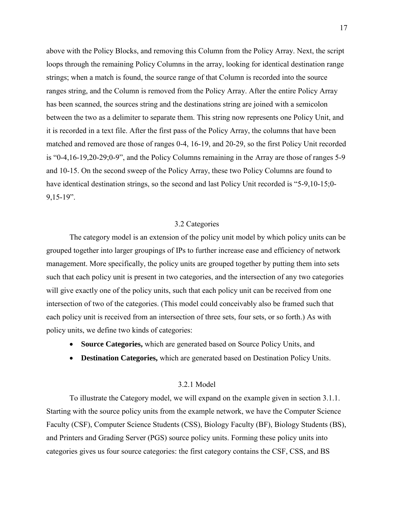above with the Policy Blocks, and removing this Column from the Policy Array. Next, the script loops through the remaining Policy Columns in the array, looking for identical destination range strings; when a match is found, the source range of that Column is recorded into the source ranges string, and the Column is removed from the Policy Array. After the entire Policy Array has been scanned, the sources string and the destinations string are joined with a semicolon between the two as a delimiter to separate them. This string now represents one Policy Unit, and it is recorded in a text file. After the first pass of the Policy Array, the columns that have been matched and removed are those of ranges 0-4, 16-19, and 20-29, so the first Policy Unit recorded is "0-4,16-19,20-29;0-9", and the Policy Columns remaining in the Array are those of ranges 5-9 and 10-15. On the second sweep of the Policy Array, these two Policy Columns are found to have identical destination strings, so the second and last Policy Unit recorded is "5-9,10-15;0- 9,15-19".

# 3.2 Categories

The category model is an extension of the policy unit model by which policy units can be grouped together into larger groupings of IPs to further increase ease and efficiency of network management. More specifically, the policy units are grouped together by putting them into sets such that each policy unit is present in two categories, and the intersection of any two categories will give exactly one of the policy units, such that each policy unit can be received from one intersection of two of the categories. (This model could conceivably also be framed such that each policy unit is received from an intersection of three sets, four sets, or so forth.) As with policy units, we define two kinds of categories:

- **Source Categories,** which are generated based on Source Policy Units, and
- **Destination Categories,** which are generated based on Destination Policy Units.

#### 3.2.1 Model

To illustrate the Category model, we will expand on the example given in section 3.1.1. Starting with the source policy units from the example network, we have the Computer Science Faculty (CSF), Computer Science Students (CSS), Biology Faculty (BF), Biology Students (BS), and Printers and Grading Server (PGS) source policy units. Forming these policy units into categories gives us four source categories: the first category contains the CSF, CSS, and BS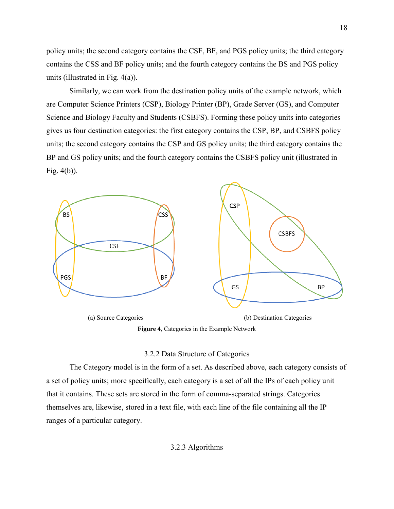policy units; the second category contains the CSF, BF, and PGS policy units; the third category contains the CSS and BF policy units; and the fourth category contains the BS and PGS policy units (illustrated in Fig. 4(a)).

Similarly, we can work from the destination policy units of the example network, which are Computer Science Printers (CSP), Biology Printer (BP), Grade Server (GS), and Computer Science and Biology Faculty and Students (CSBFS). Forming these policy units into categories gives us four destination categories: the first category contains the CSP, BP, and CSBFS policy units; the second category contains the CSP and GS policy units; the third category contains the BP and GS policy units; and the fourth category contains the CSBFS policy unit (illustrated in Fig. 4(b)).



**Figure 4**, Categories in the Example Network

#### 3.2.2 Data Structure of Categories

The Category model is in the form of a set. As described above, each category consists of a set of policy units; more specifically, each category is a set of all the IPs of each policy unit that it contains. These sets are stored in the form of comma-separated strings. Categories themselves are, likewise, stored in a text file, with each line of the file containing all the IP ranges of a particular category.

3.2.3 Algorithms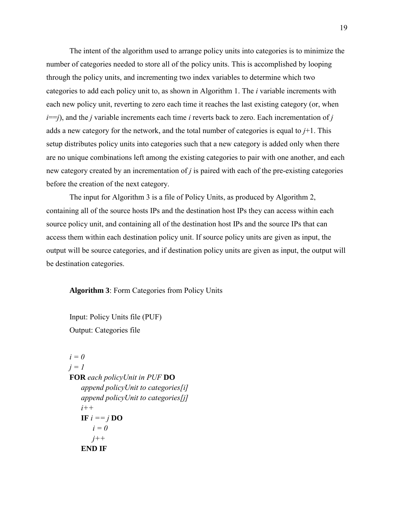The intent of the algorithm used to arrange policy units into categories is to minimize the number of categories needed to store all of the policy units. This is accomplished by looping through the policy units, and incrementing two index variables to determine which two categories to add each policy unit to, as shown in Algorithm 1. The *i* variable increments with each new policy unit, reverting to zero each time it reaches the last existing category (or, when *), and the <i>j* variable increments each time *i* reverts back to zero. Each incrementation of *j* adds a new category for the network, and the total number of categories is equal to *j*+1. This setup distributes policy units into categories such that a new category is added only when there are no unique combinations left among the existing categories to pair with one another, and each new category created by an incrementation of *j* is paired with each of the pre-existing categories before the creation of the next category.

The input for Algorithm 3 is a file of Policy Units, as produced by Algorithm 2, containing all of the source hosts IPs and the destination host IPs they can access within each source policy unit, and containing all of the destination host IPs and the source IPs that can access them within each destination policy unit. If source policy units are given as input, the output will be source categories, and if destination policy units are given as input, the output will be destination categories.

**Algorithm 3**: Form Categories from Policy Units

Input: Policy Units file (PUF) Output: Categories file

```
i = 0
j = 1
FOR each policyUnit in PUF DO
   append policyUnit to categories[i]
   append policyUnit to categories[j]
   i++
   IF i == j DO
       i = 0
      j++
   END IF
```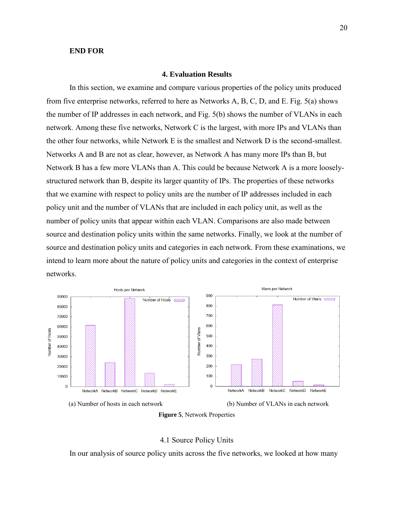### **END FOR**

## **4. Evaluation Results**

In this section, we examine and compare various properties of the policy units produced from five enterprise networks, referred to here as Networks A, B, C, D, and E. Fig. 5(a) shows the number of IP addresses in each network, and Fig. 5(b) shows the number of VLANs in each network. Among these five networks, Network C is the largest, with more IPs and VLANs than the other four networks, while Network E is the smallest and Network D is the second-smallest. Networks A and B are not as clear, however, as Network A has many more IPs than B, but Network B has a few more VLANs than A. This could be because Network A is a more looselystructured network than B, despite its larger quantity of IPs. The properties of these networks that we examine with respect to policy units are the number of IP addresses included in each policy unit and the number of VLANs that are included in each policy unit, as well as the number of policy units that appear within each VLAN. Comparisons are also made between source and destination policy units within the same networks. Finally, we look at the number of source and destination policy units and categories in each network. From these examinations, we intend to learn more about the nature of policy units and categories in the context of enterprise networks.





#### 4.1 Source Policy Units

In our analysis of source policy units across the five networks, we looked at how many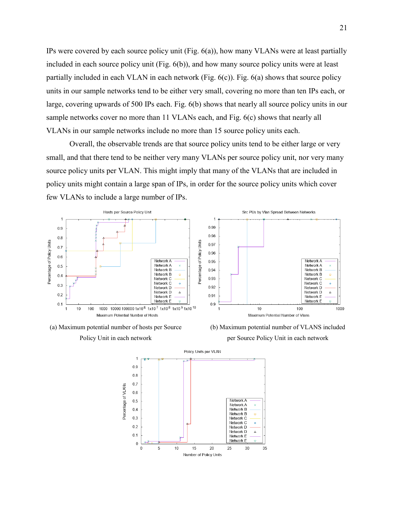IPs were covered by each source policy unit (Fig. 6(a)), how many VLANs were at least partially included in each source policy unit (Fig. 6(b)), and how many source policy units were at least partially included in each VLAN in each network (Fig. 6(c)). Fig. 6(a) shows that source policy units in our sample networks tend to be either very small, covering no more than ten IPs each, or large, covering upwards of 500 IPs each. Fig. 6(b) shows that nearly all source policy units in our sample networks cover no more than 11 VLANs each, and Fig. 6(c) shows that nearly all VLANs in our sample networks include no more than 15 source policy units each.

Overall, the observable trends are that source policy units tend to be either large or very small, and that there tend to be neither very many VLANs per source policy unit, nor very many source policy units per VLAN. This might imply that many of the VLANs that are included in policy units might contain a large span of IPs, in order for the source policy units which cover few VLANs to include a large number of IPs.





Policy Unit in each network





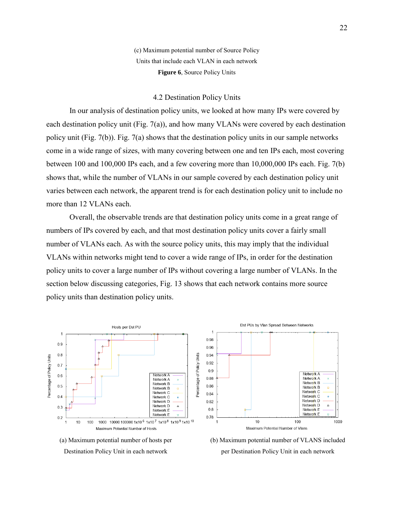(c) Maximum potential number of Source Policy Units that include each VLAN in each network **Figure 6**, Source Policy Units

### 4.2 Destination Policy Units

In our analysis of destination policy units, we looked at how many IPs were covered by each destination policy unit (Fig.  $7(a)$ ), and how many VLANs were covered by each destination policy unit (Fig. 7(b)). Fig. 7(a) shows that the destination policy units in our sample networks come in a wide range of sizes, with many covering between one and ten IPs each, most covering between 100 and 100,000 IPs each, and a few covering more than 10,000,000 IPs each. Fig. 7(b) shows that, while the number of VLANs in our sample covered by each destination policy unit varies between each network, the apparent trend is for each destination policy unit to include no more than 12 VLANs each.

Overall, the observable trends are that destination policy units come in a great range of numbers of IPs covered by each, and that most destination policy units cover a fairly small number of VLANs each. As with the source policy units, this may imply that the individual VLANs within networks might tend to cover a wide range of IPs, in order for the destination policy units to cover a large number of IPs without covering a large number of VLANs. In the section below discussing categories, Fig. 13 shows that each network contains more source policy units than destination policy units.



Destination Policy Unit in each network

per Destination Policy Unit in each network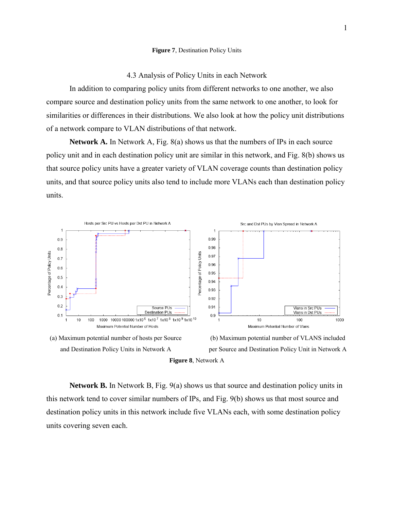#### **Figure 7**, Destination Policy Units

# 4.3 Analysis of Policy Units in each Network

In addition to comparing policy units from different networks to one another, we also compare source and destination policy units from the same network to one another, to look for similarities or differences in their distributions. We also look at how the policy unit distributions of a network compare to VLAN distributions of that network.

**Network A.** In Network A, Fig. 8(a) shows us that the numbers of IPs in each source policy unit and in each destination policy unit are similar in this network, and Fig. 8(b) shows us that source policy units have a greater variety of VLAN coverage counts than destination policy units, and that source policy units also tend to include more VLANs each than destination policy units.



**Network B.** In Network B, Fig. 9(a) shows us that source and destination policy units in this network tend to cover similar numbers of IPs, and Fig. 9(b) shows us that most source and destination policy units in this network include five VLANs each, with some destination policy units covering seven each.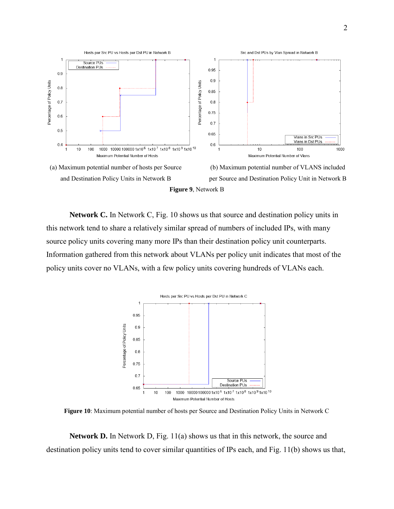

**Network C.** In Network C, Fig. 10 shows us that source and destination policy units in this network tend to share a relatively similar spread of numbers of included IPs, with many source policy units covering many more IPs than their destination policy unit counterparts. Information gathered from this network about VLANs per policy unit indicates that most of the policy units cover no VLANs, with a few policy units covering hundreds of VLANs each.



**Figure 10**: Maximum potential number of hosts per Source and Destination Policy Units in Network C

**Network D.** In Network D, Fig. 11(a) shows us that in this network, the source and destination policy units tend to cover similar quantities of IPs each, and Fig. 11(b) shows us that,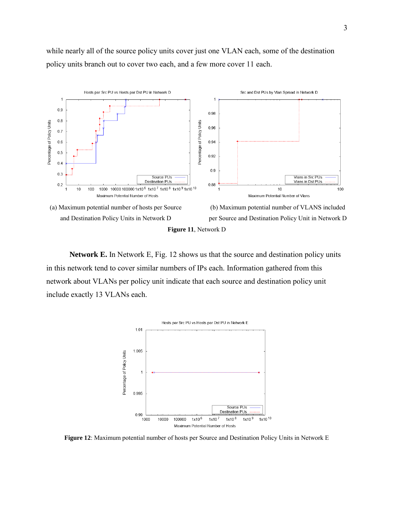while nearly all of the source policy units cover just one VLAN each, some of the destination policy units branch out to cover two each, and a few more cover 11 each.



**Network E.** In Network E, Fig. 12 shows us that the source and destination policy units in this network tend to cover similar numbers of IPs each. Information gathered from this network about VLANs per policy unit indicate that each source and destination policy unit include exactly 13 VLANs each.



**Figure 12**: Maximum potential number of hosts per Source and Destination Policy Units in Network E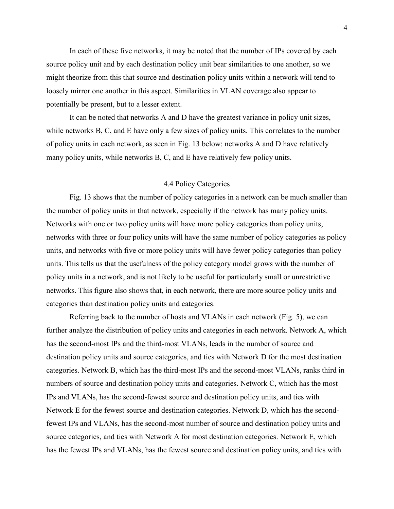In each of these five networks, it may be noted that the number of IPs covered by each source policy unit and by each destination policy unit bear similarities to one another, so we might theorize from this that source and destination policy units within a network will tend to loosely mirror one another in this aspect. Similarities in VLAN coverage also appear to potentially be present, but to a lesser extent.

It can be noted that networks A and D have the greatest variance in policy unit sizes, while networks B, C, and E have only a few sizes of policy units. This correlates to the number of policy units in each network, as seen in Fig. 13 below: networks A and D have relatively many policy units, while networks B, C, and E have relatively few policy units.

# 4.4 Policy Categories

Fig. 13 shows that the number of policy categories in a network can be much smaller than the number of policy units in that network, especially if the network has many policy units. Networks with one or two policy units will have more policy categories than policy units, networks with three or four policy units will have the same number of policy categories as policy units, and networks with five or more policy units will have fewer policy categories than policy units. This tells us that the usefulness of the policy category model grows with the number of policy units in a network, and is not likely to be useful for particularly small or unrestrictive networks. This figure also shows that, in each network, there are more source policy units and categories than destination policy units and categories.

Referring back to the number of hosts and VLANs in each network (Fig. 5), we can further analyze the distribution of policy units and categories in each network. Network A, which has the second-most IPs and the third-most VLANs, leads in the number of source and destination policy units and source categories, and ties with Network D for the most destination categories. Network B, which has the third-most IPs and the second-most VLANs, ranks third in numbers of source and destination policy units and categories. Network C, which has the most IPs and VLANs, has the second-fewest source and destination policy units, and ties with Network E for the fewest source and destination categories. Network D, which has the secondfewest IPs and VLANs, has the second-most number of source and destination policy units and source categories, and ties with Network A for most destination categories. Network E, which has the fewest IPs and VLANs, has the fewest source and destination policy units, and ties with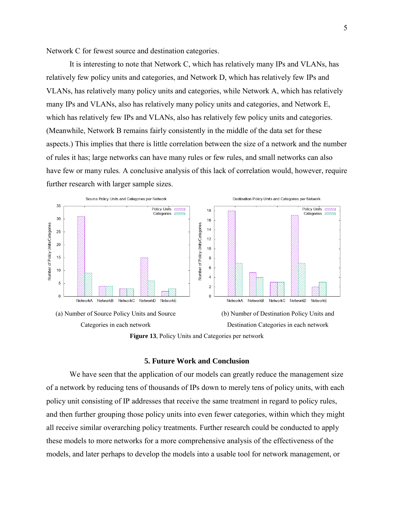Network C for fewest source and destination categories.

It is interesting to note that Network C, which has relatively many IPs and VLANs, has relatively few policy units and categories, and Network D, which has relatively few IPs and VLANs, has relatively many policy units and categories, while Network A, which has relatively many IPs and VLANs, also has relatively many policy units and categories, and Network E, which has relatively few IPs and VLANs, also has relatively few policy units and categories. (Meanwhile, Network B remains fairly consistently in the middle of the data set for these aspects.) This implies that there is little correlation between the size of a network and the number of rules it has; large networks can have many rules or few rules, and small networks can also have few or many rules*.* A conclusive analysis of this lack of correlation would, however, require further research with larger sample sizes.





## **5. Future Work and Conclusion**

We have seen that the application of our models can greatly reduce the management size of a network by reducing tens of thousands of IPs down to merely tens of policy units, with each policy unit consisting of IP addresses that receive the same treatment in regard to policy rules, and then further grouping those policy units into even fewer categories, within which they might all receive similar overarching policy treatments. Further research could be conducted to apply these models to more networks for a more comprehensive analysis of the effectiveness of the models, and later perhaps to develop the models into a usable tool for network management, or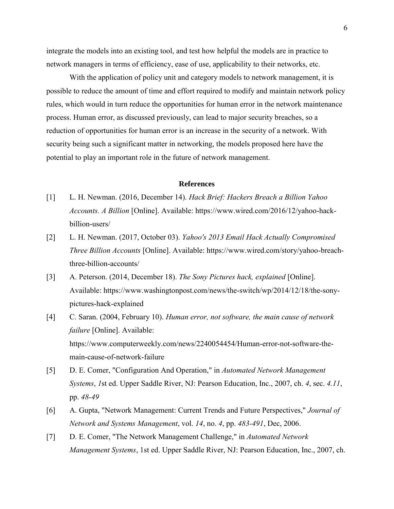integrate the models into an existing tool, and test how helpful the models are in practice to network managers in terms of efficiency, ease of use, applicability to their networks, etc.

With the application of policy unit and category models to network management, it is possible to reduce the amount of time and effort required to modify and maintain network policy rules, which would in turn reduce the opportunities for human error in the network maintenance process. Human error, as discussed previously, can lead to major security breaches, so a reduction of opportunities for human error is an increase in the security of a network. With security being such a significant matter in networking, the models proposed here have the potential to play an important role in the future of network management.

#### **References**

- [1] L. H. Newman. (2016, December 14). *Hack Brief: Hackers Breach a Billion Yahoo Accounts. A Billion* [Online]. Available: https://www.wired.com/2016/12/yahoo-hackbillion-users/
- [2] L. H. Newman. (2017, October 03). *Yahoo's 2013 Email Hack Actually Compromised Three Billion Accounts* [Online]. Available: https://www.wired.com/story/yahoo-breachthree-billion-accounts/
- [3] A. Peterson. (2014, December 18). *The Sony Pictures hack, explained* [Online]. Available: https://www.washingtonpost.com/news/the-switch/wp/2014/12/18/the-sonypictures-hack-explained
- [4] C. Saran. (2004, February 10). *Human error, not software, the main cause of network failure* [Online]. Available: https://www.computerweekly.com/news/2240054454/Human-error-not-software-themain-cause-of-network-failure
- [5] D. E. Comer, "Configuration And Operation," in *Automated Network Management Systems*, *1*st ed. Upper Saddle River, NJ: Pearson Education, Inc., 2007, ch. *4*, sec. *4.11*, pp. *48-49*
- [6] A. Gupta, "Network Management: Current Trends and Future Perspectives," *Journal of Network and Systems Management*, vol. *14*, no. *4*, pp. *483-491*, Dec, 2006.
- [7] D. E. Comer, "The Network Management Challenge," in *Automated Network Management Systems*, 1st ed. Upper Saddle River, NJ: Pearson Education, Inc., 2007, ch.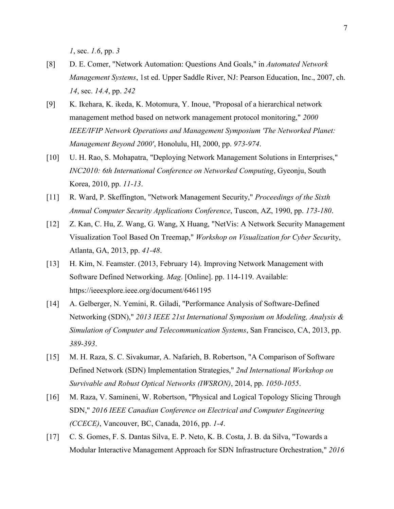*1*, sec. *1.6*, pp. *3*

- [8] D. E. Comer, "Network Automation: Questions And Goals," in *Automated Network Management Systems*, 1st ed. Upper Saddle River, NJ: Pearson Education, Inc., 2007, ch. *14*, sec. *14.4*, pp. *242*
- [9] K. Ikehara, K. ikeda, K. Motomura, Y. Inoue, "Proposal of a hierarchical network management method based on network management protocol monitoring," *2000 IEEE/IFIP Network Operations and Management Symposium 'The Networked Planet: Management Beyond 2000'*, Honolulu, HI, 2000, pp. *973-974*.
- [10] U. H. Rao, S. Mohapatra, "Deploying Network Management Solutions in Enterprises," *INC2010: 6th International Conference on Networked Computing*, Gyeonju, South Korea, 2010, pp. *11-13*.
- [11] R. Ward, P. Skeffington, "Network Management Security," *Proceedings of the Sixth Annual Computer Security Applications Conference*, Tuscon, AZ, 1990, pp. *173-180*.
- [12] Z. Kan, C. Hu, Z. Wang, G. Wang, X Huang, "NetVis: A Network Security Management Visualization Tool Based On Treemap," *Workshop on Visualization for Cyber Secur*ity, Atlanta, GA, 2013, pp. *41-48*.
- [13] H. Kim, N. Feamster. (2013, February 14). Improving Network Management with Software Defined Networking. *Mag*. [Online]. pp. 114-119. Available: https://ieeexplore.ieee.org/document/6461195
- [14] A. Gelberger, N. Yemini, R. Giladi, "Performance Analysis of Software-Defined Networking (SDN)," *2013 IEEE 21st International Symposium on Modeling, Analysis & Simulation of Computer and Telecommunication Systems*, San Francisco, CA, 2013, pp. *389-393*.
- [15] M. H. Raza, S. C. Sivakumar, A. Nafarieh, B. Robertson, "A Comparison of Software Defined Network (SDN) Implementation Strategies," *2nd International Workshop on Survivable and Robust Optical Networks (IWSRON)*, 2014, pp. *1050-1055*.
- [16] M. Raza, V. Samineni, W. Robertson, "Physical and Logical Topology Slicing Through SDN," *2016 IEEE Canadian Conference on Electrical and Computer Engineering (CCECE)*, Vancouver, BC, Canada, 2016, pp. *1-4*.
- [17] C. S. Gomes, F. S. Dantas Silva, E. P. Neto, K. B. Costa, J. B. da Silva, "Towards a Modular Interactive Management Approach for SDN Infrastructure Orchestration," *2016*